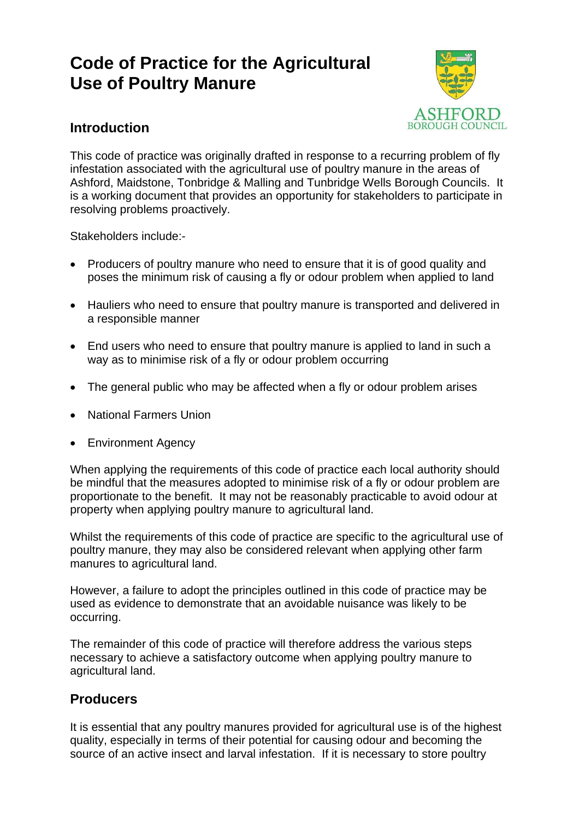# **Code of Practice for the Agricultural Use of Poultry Manure**



# **Introduction**

This code of practice was originally drafted in response to a recurring problem of fly infestation associated with the agricultural use of poultry manure in the areas of Ashford, Maidstone, Tonbridge & Malling and Tunbridge Wells Borough Councils. It is a working document that provides an opportunity for stakeholders to participate in resolving problems proactively.

Stakeholders include:-

- Producers of poultry manure who need to ensure that it is of good quality and poses the minimum risk of causing a fly or odour problem when applied to land
- Hauliers who need to ensure that poultry manure is transported and delivered in a responsible manner
- End users who need to ensure that poultry manure is applied to land in such a way as to minimise risk of a fly or odour problem occurring
- The general public who may be affected when a fly or odour problem arises
- National Farmers Union
- Environment Agency

When applying the requirements of this code of practice each local authority should be mindful that the measures adopted to minimise risk of a fly or odour problem are proportionate to the benefit. It may not be reasonably practicable to avoid odour at property when applying poultry manure to agricultural land.

Whilst the requirements of this code of practice are specific to the agricultural use of poultry manure, they may also be considered relevant when applying other farm manures to agricultural land.

However, a failure to adopt the principles outlined in this code of practice may be used as evidence to demonstrate that an avoidable nuisance was likely to be occurring.

The remainder of this code of practice will therefore address the various steps necessary to achieve a satisfactory outcome when applying poultry manure to agricultural land.

# **Producers**

It is essential that any poultry manures provided for agricultural use is of the highest quality, especially in terms of their potential for causing odour and becoming the source of an active insect and larval infestation. If it is necessary to store poultry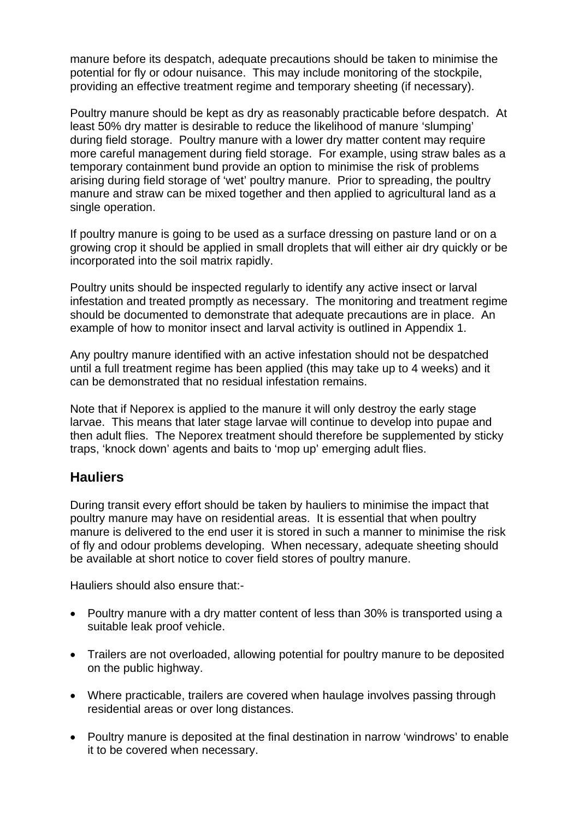manure before its despatch, adequate precautions should be taken to minimise the potential for fly or odour nuisance. This may include monitoring of the stockpile, providing an effective treatment regime and temporary sheeting (if necessary).

Poultry manure should be kept as dry as reasonably practicable before despatch. At least 50% dry matter is desirable to reduce the likelihood of manure 'slumping' during field storage. Poultry manure with a lower dry matter content may require more careful management during field storage. For example, using straw bales as a temporary containment bund provide an option to minimise the risk of problems arising during field storage of 'wet' poultry manure. Prior to spreading, the poultry manure and straw can be mixed together and then applied to agricultural land as a single operation.

If poultry manure is going to be used as a surface dressing on pasture land or on a growing crop it should be applied in small droplets that will either air dry quickly or be incorporated into the soil matrix rapidly.

Poultry units should be inspected regularly to identify any active insect or larval infestation and treated promptly as necessary. The monitoring and treatment regime should be documented to demonstrate that adequate precautions are in place. An example of how to monitor insect and larval activity is outlined in Appendix 1.

Any poultry manure identified with an active infestation should not be despatched until a full treatment regime has been applied (this may take up to 4 weeks) and it can be demonstrated that no residual infestation remains.

Note that if Neporex is applied to the manure it will only destroy the early stage larvae. This means that later stage larvae will continue to develop into pupae and then adult flies. The Neporex treatment should therefore be supplemented by sticky traps, 'knock down' agents and baits to 'mop up' emerging adult flies.

## **Hauliers**

During transit every effort should be taken by hauliers to minimise the impact that poultry manure may have on residential areas. It is essential that when poultry manure is delivered to the end user it is stored in such a manner to minimise the risk of fly and odour problems developing. When necessary, adequate sheeting should be available at short notice to cover field stores of poultry manure.

Hauliers should also ensure that:-

- Poultry manure with a dry matter content of less than 30% is transported using a suitable leak proof vehicle.
- Trailers are not overloaded, allowing potential for poultry manure to be deposited on the public highway.
- Where practicable, trailers are covered when haulage involves passing through residential areas or over long distances.
- Poultry manure is deposited at the final destination in narrow 'windrows' to enable it to be covered when necessary.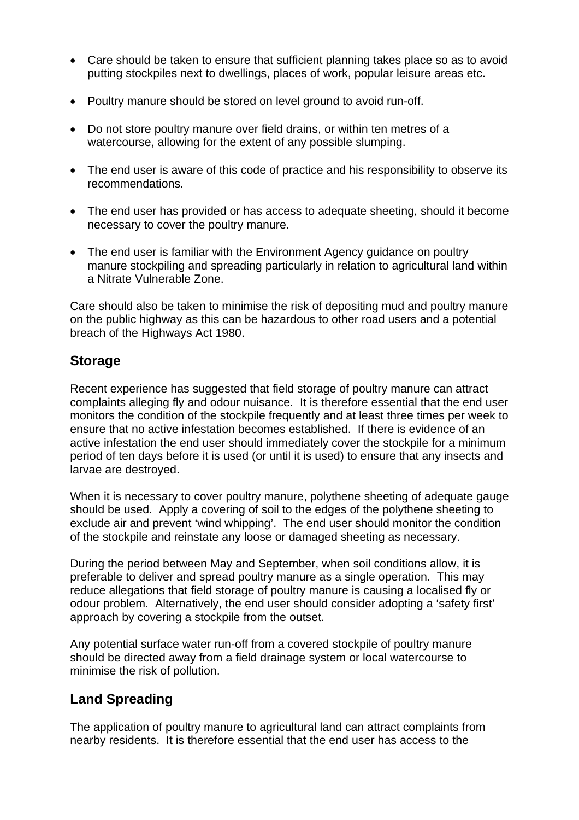- Care should be taken to ensure that sufficient planning takes place so as to avoid putting stockpiles next to dwellings, places of work, popular leisure areas etc.
- Poultry manure should be stored on level ground to avoid run-off.
- Do not store poultry manure over field drains, or within ten metres of a watercourse, allowing for the extent of any possible slumping.
- The end user is aware of this code of practice and his responsibility to observe its recommendations.
- The end user has provided or has access to adequate sheeting, should it become necessary to cover the poultry manure.
- The end user is familiar with the Environment Agency guidance on poultry manure stockpiling and spreading particularly in relation to agricultural land within a Nitrate Vulnerable Zone.

Care should also be taken to minimise the risk of depositing mud and poultry manure on the public highway as this can be hazardous to other road users and a potential breach of the Highways Act 1980.

## **Storage**

Recent experience has suggested that field storage of poultry manure can attract complaints alleging fly and odour nuisance. It is therefore essential that the end user monitors the condition of the stockpile frequently and at least three times per week to ensure that no active infestation becomes established. If there is evidence of an active infestation the end user should immediately cover the stockpile for a minimum period of ten days before it is used (or until it is used) to ensure that any insects and larvae are destroyed.

When it is necessary to cover poultry manure, polythene sheeting of adequate gauge should be used. Apply a covering of soil to the edges of the polythene sheeting to exclude air and prevent 'wind whipping'. The end user should monitor the condition of the stockpile and reinstate any loose or damaged sheeting as necessary.

During the period between May and September, when soil conditions allow, it is preferable to deliver and spread poultry manure as a single operation. This may reduce allegations that field storage of poultry manure is causing a localised fly or odour problem. Alternatively, the end user should consider adopting a 'safety first' approach by covering a stockpile from the outset.

Any potential surface water run-off from a covered stockpile of poultry manure should be directed away from a field drainage system or local watercourse to minimise the risk of pollution.

# **Land Spreading**

The application of poultry manure to agricultural land can attract complaints from nearby residents. It is therefore essential that the end user has access to the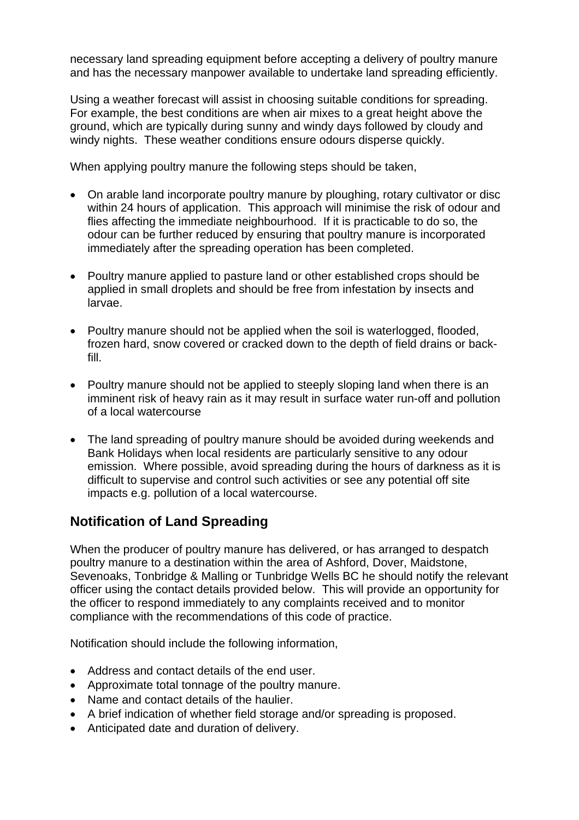necessary land spreading equipment before accepting a delivery of poultry manure and has the necessary manpower available to undertake land spreading efficiently.

Using a weather forecast will assist in choosing suitable conditions for spreading. For example, the best conditions are when air mixes to a great height above the ground, which are typically during sunny and windy days followed by cloudy and windy nights. These weather conditions ensure odours disperse quickly.

When applying poultry manure the following steps should be taken,

- On arable land incorporate poultry manure by ploughing, rotary cultivator or disc within 24 hours of application. This approach will minimise the risk of odour and flies affecting the immediate neighbourhood. If it is practicable to do so, the odour can be further reduced by ensuring that poultry manure is incorporated immediately after the spreading operation has been completed.
- Poultry manure applied to pasture land or other established crops should be applied in small droplets and should be free from infestation by insects and larvae.
- Poultry manure should not be applied when the soil is waterlogged, flooded, frozen hard, snow covered or cracked down to the depth of field drains or backfill.
- Poultry manure should not be applied to steeply sloping land when there is an imminent risk of heavy rain as it may result in surface water run-off and pollution of a local watercourse
- The land spreading of poultry manure should be avoided during weekends and Bank Holidays when local residents are particularly sensitive to any odour emission. Where possible, avoid spreading during the hours of darkness as it is difficult to supervise and control such activities or see any potential off site impacts e.g. pollution of a local watercourse.

# **Notification of Land Spreading**

When the producer of poultry manure has delivered, or has arranged to despatch poultry manure to a destination within the area of Ashford, Dover, Maidstone, Sevenoaks, Tonbridge & Malling or Tunbridge Wells BC he should notify the relevant officer using the contact details provided below. This will provide an opportunity for the officer to respond immediately to any complaints received and to monitor compliance with the recommendations of this code of practice.

Notification should include the following information,

- Address and contact details of the end user.
- Approximate total tonnage of the poultry manure.
- Name and contact details of the haulier.
- A brief indication of whether field storage and/or spreading is proposed.
- Anticipated date and duration of delivery.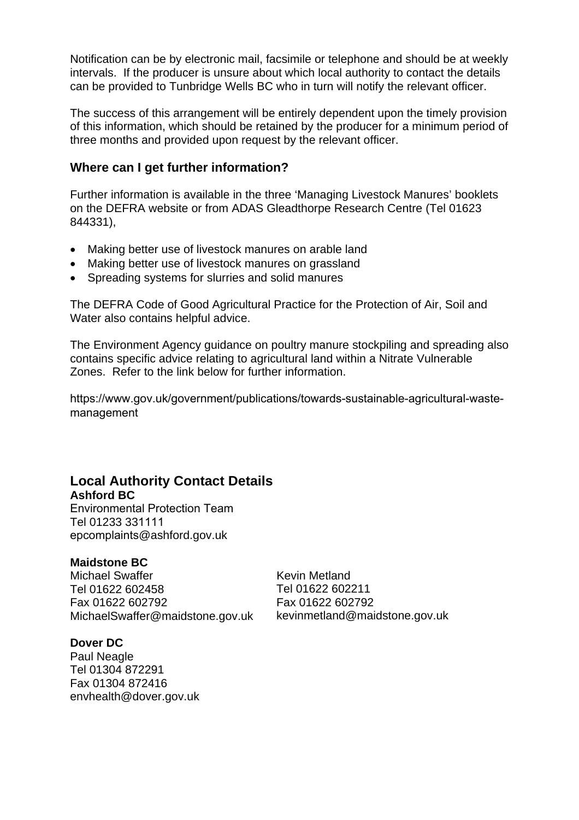Notification can be by electronic mail, facsimile or telephone and should be at weekly intervals. If the producer is unsure about which local authority to contact the details can be provided to Tunbridge Wells BC who in turn will notify the relevant officer.

The success of this arrangement will be entirely dependent upon the timely provision of this information, which should be retained by the producer for a minimum period of three months and provided upon request by the relevant officer.

## **Where can I get further information?**

Further information is available in the three 'Managing Livestock Manures' booklets on the DEFRA website or from ADAS Gleadthorpe Research Centre (Tel 01623 844331),

- Making better use of livestock manures on arable land
- Making better use of livestock manures on grassland
- Spreading systems for slurries and solid manures

The DEFRA Code of Good Agricultural Practice for the Protection of Air, Soil and Water also contains helpful advice.

The Environment Agency guidance on poultry manure stockpiling and spreading also contains specific advice relating to agricultural land within a Nitrate Vulnerable Zones. Refer to the link below for further information.

[https://www.gov.uk/government/publications/towards-sustainable-agricultural-waste](https://www.gov.uk/government/publications/towards-sustainable-agricultural-waste-management)management

#### **Local Authority Contact Details Ashford BC**

Environmental Protection Team Tel 01233 331111 epcomplaints@ashford.gov.uk

## **Maidstone BC**

Michael Swaffer Tel 01622 602458 Fax 01622 602792 MichaelSwaffer@maidstone.gov.uk Kevin Metland Tel 01622 602211 Fax 01622 602792 kevinmetland@maidstone.gov.uk

#### **Dover DC**  Paul Neagle Tel 01304 872291 Fax 01304 872416

envhealth@dover.gov.uk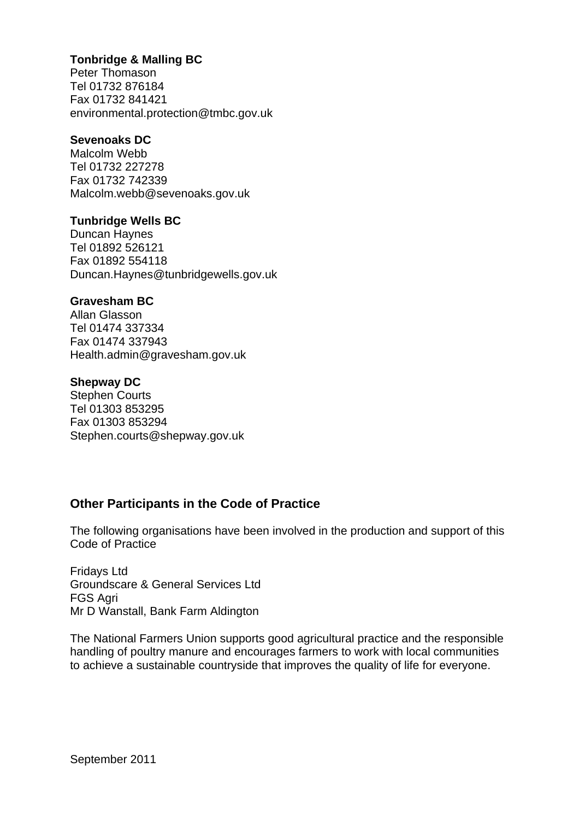## **Tonbridge & Malling BC**

Peter Thomason Tel 01732 876184 Fax 01732 841421 environmental.protection@tmbc.gov.uk

#### **Sevenoaks DC**

Malcolm Webb Tel 01732 227278 Fax 01732 742339 Malcolm.webb@sevenoaks.gov.uk

### **Tunbridge Wells BC**

Duncan Haynes Tel 01892 526121 Fax 01892 554118 Duncan.Haynes@tunbridgewells.gov.uk

### **Gravesham BC**

Allan Glasson Tel 01474 337334 Fax 01474 337943 Health.admin@gravesham.gov.uk

#### **Shepway DC**

Stephen Courts Tel 01303 853295 Fax 01303 853294 Stephen.courts@shepway.gov.uk

## **Other Participants in the Code of Practice**

The following organisations have been involved in the production and support of this Code of Practice

Fridays Ltd Groundscare & General Services Ltd FGS Agri Mr D Wanstall, Bank Farm Aldington

The National Farmers Union supports good agricultural practice and the responsible handling of poultry manure and encourages farmers to work with local communities to achieve a sustainable countryside that improves the quality of life for everyone.